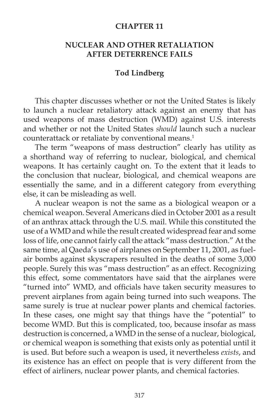## **CHAPTER 11**

## **NUCLEAR AND OTHER RETALIATION AFTER DETERRENCE FAILS**

## **Tod Lindberg**

 This chapter discusses whether or not the United States is likely to launch a nuclear retaliatory attack against an enemy that has used weapons of mass destruction (WMD) against U.S. interests and whether or not the United States *should* launch such a nuclear counterattack or retaliate by conventional means.<sup>1</sup>

 The term "weapons of mass destruction" clearly has utility as a shorthand way of referring to nuclear, biological, and chemical weapons. It has certainly caught on. To the extent that it leads to the conclusion that nuclear, biological, and chemical weapons are essentially the same, and in a different category from everything else, it can be misleading as well.

 A nuclear weapon is not the same as a biological weapon or a chemical weapon. Several Americans died in October 2001 as a result of an anthrax attack through the U.S. mail. While this constituted the use of a WMD and while the result created widespread fear and some loss of life, one cannot fairly call the attack "mass destruction." At the same time, al Qaeda's use of airplanes on September 11, 2001, as fuelair bombs against skyscrapers resulted in the deaths of some 3,000 people. Surely this was "mass destruction" as an effect. Recognizing this effect, some commentators have said that the airplanes were "turned into" WMD, and officials have taken security measures to prevent airplanes from again being turned into such weapons. The same surely is true at nuclear power plants and chemical factories. In these cases, one might say that things have the "potential" to become WMD. But this is complicated, too, because insofar as mass destruction is concerned, a WMD in the sense of a nuclear, biological, or chemical weapon is something that exists only as potential until it is used. But before such a weapon is used, it nevertheless *exists*, and its existence has an effect on people that is very different from the effect of airliners, nuclear power plants, and chemical factories.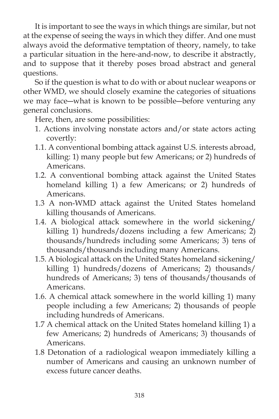It is important to see the ways in which things are similar, but not at the expense of seeing the ways in which they differ. And one must always avoid the deformative temptation of theory, namely, to take a particular situation in the here-and-now, to describe it abstractly, and to suppose that it thereby poses broad abstract and general questions.

 So if the question is what to do with or about nuclear weapons or other WMD, we should closely examine the categories of situations we may face―what is known to be possible―before venturing any general conclusions.

Here, then, are some possibilities:

- 1. Actions involving nonstate actors and/or state actors acting covertly:
- 1.1. A conventional bombing attack against U.S. interests abroad, killing: 1) many people but few Americans; or 2) hundreds of Americans.
- 1.2. A conventional bombing attack against the United States homeland killing 1) a few Americans; or 2) hundreds of Americans.
- 1.3 A non-WMD attack against the United States homeland killing thousands of Americans.
- 1.4. A biological attack somewhere in the world sickening/ killing 1) hundreds/dozens including a few Americans; 2) thousands/hundreds including some Americans; 3) tens of thousands/thousands including many Americans.
- 1.5. A biological attack on the United States homeland sickening/ killing 1) hundreds/dozens of Americans; 2) thousands/ hundreds of Americans; 3) tens of thousands/thousands of Americans.
- 1.6. A chemical attack somewhere in the world killing 1) many people including a few Americans; 2) thousands of people including hundreds of Americans.
- 1.7 A chemical attack on the United States homeland killing 1) a few Americans; 2) hundreds of Americans; 3) thousands of Americans.
- 1.8 Detonation of a radiological weapon immediately killing a number of Americans and causing an unknown number of excess future cancer deaths.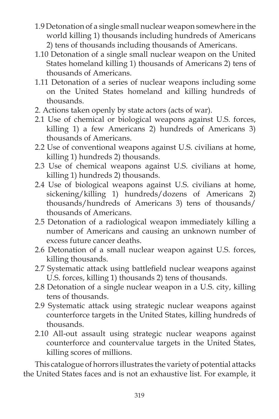- 1.9 Detonation of a single small nuclear weapon somewhere in the world killing 1) thousands including hundreds of Americans 2) tens of thousands including thousands of Americans.
- 1.10 Detonation of a single small nuclear weapon on the United States homeland killing 1) thousands of Americans 2) tens of thousands of Americans.
- 1.11 Detonation of a series of nuclear weapons including some on the United States homeland and killing hundreds of thousands.
- 2. Actions taken openly by state actors (acts of war).
- 2.1 Use of chemical or biological weapons against U.S. forces, killing 1) a few Americans 2) hundreds of Americans 3) thousands of Americans.
- 2.2 Use of conventional weapons against U.S. civilians at home, killing 1) hundreds 2) thousands.
- 2.3 Use of chemical weapons against U.S. civilians at home, killing 1) hundreds 2) thousands.
- 2.4 Use of biological weapons against U.S. civilians at home, sickening/killing 1) hundreds/dozens of Americans 2) thousands/hundreds of Americans 3) tens of thousands/ thousands of Americans.
- 2.5 Detonation of a radiological weapon immediately killing a number of Americans and causing an unknown number of excess future cancer deaths.
- 2.6 Detonation of a small nuclear weapon against U.S. forces, killing thousands.
- 2.7 Systematic attack using battlefield nuclear weapons against U.S. forces, killing 1) thousands 2) tens of thousands.
- 2.8 Detonation of a single nuclear weapon in a U.S. city, killing tens of thousands.
- 2.9 Systematic attack using strategic nuclear weapons against counterforce targets in the United States, killing hundreds of thousands.
- 2.10 All-out assault using strategic nuclear weapons against counterforce and countervalue targets in the United States, killing scores of millions.

 This catalogue of horrors illustrates the variety of potential attacks the United States faces and is not an exhaustive list. For example, it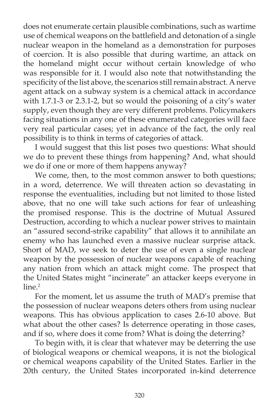does not enumerate certain plausible combinations, such as wartime use of chemical weapons on the battlefield and detonation of a single nuclear weapon in the homeland as a demonstration for purposes of coercion. It is also possible that during wartime, an attack on the homeland might occur without certain knowledge of who was responsible for it. I would also note that notwithstanding the specificity of the list above, the scenarios still remain abstract. A nerve agent attack on a subway system is a chemical attack in accordance with 1.7.1-3 or 2.3.1-2, but so would the poisoning of a city's water supply, even though they are very different problems. Policymakers facing situations in any one of these enumerated categories will face very real particular cases; yet in advance of the fact, the only real possibility is to think in terms of categories of attack.

 I would suggest that this list poses two questions: What should we do to prevent these things from happening? And, what should we do if one or more of them happens anyway?

 We come, then, to the most common answer to both questions; in a word, deterrence. We will threaten action so devastating in response the eventualities, including but not limited to those listed above, that no one will take such actions for fear of unleashing the promised response. This is the doctrine of Mutual Assured Destruction, according to which a nuclear power strives to maintain an "assured second-strike capability" that allows it to annihilate an enemy who has launched even a massive nuclear surprise attack. Short of MAD, we seek to deter the use of even a single nuclear weapon by the possession of nuclear weapons capable of reaching any nation from which an attack might come. The prospect that the United States might "incinerate" an attacker keeps everyone in  $line<sup>2</sup>$ 

 For the moment, let us assume the truth of MAD's premise that the possession of nuclear weapons deters others from using nuclear weapons. This has obvious application to cases 2.6-10 above. But what about the other cases? Is deterrence operating in those cases, and if so, where does it come from? What is doing the deterring?

 To begin with, it is clear that whatever may be deterring the use of biological weapons or chemical weapons, it is not the biological or chemical weapons capability of the United States. Earlier in the 20th century, the United States incorporated in-kind deterrence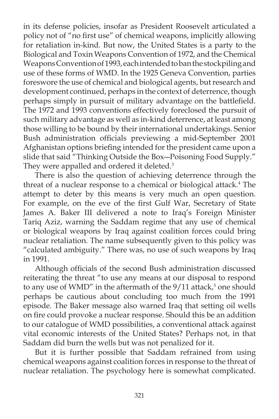in its defense policies, insofar as President Roosevelt articulated a policy not of "no first use" of chemical weapons, implicitly allowing for retaliation in-kind. But now, the United States is a party to the Biological and Toxin Weapons Convention of 1972, and the Chemical Weapons Convention of 1993, each intended to ban the stockpiling and use of these forms of WMD. In the 1925 Geneva Convention, parties foreswore the use of chemical and biological agents, but research and development continued, perhaps in the context of deterrence, though perhaps simply in pursuit of military advantage on the battlefield. The 1972 and 1993 conventions effectively foreclosed the pursuit of such military advantage as well as in-kind deterrence, at least among those willing to be bound by their international undertakings. Senior Bush administration officials previewing a mid-September 2001 Afghanistan options briefing intended for the president came upon a slide that said "Thinking Outside the Box-Poisoning Food Supply." They were appalled and ordered it deleted.<sup>3</sup>

 There is also the question of achieving deterrence through the threat of a nuclear response to a chemical or biological attack.<sup>4</sup> The attempt to deter by this means is very much an open question. For example, on the eve of the first Gulf War, Secretary of State James A. Baker III delivered a note to Iraq's Foreign Minister Tariq Aziz, warning the Saddam regime that any use of chemical or biological weapons by Iraq against coalition forces could bring nuclear retaliation. The name subsequently given to this policy was "calculated ambiguity." There was, no use of such weapons by Iraq in 1991.

Although officials of the second Bush administration discussed reiterating the threat "to use any means at our disposal to respond to any use of WMD" in the aftermath of the  $9/11$  attack,<sup>5</sup> one should perhaps be cautious about concluding too much from the 1991 episode. The Baker message also warned Iraq that setting oil wells on fire could provoke a nuclear response. Should this be an addition to our catalogue of WMD possibilities, a conventional attack against vital economic interests of the United States? Perhaps not, in that Saddam did burn the wells but was not penalized for it.

 But it is further possible that Saddam refrained from using chemical weapons against coalition forces in response to the threat of nuclear retaliation. The psychology here is somewhat complicated.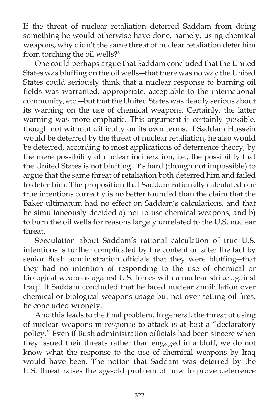If the threat of nuclear retaliation deterred Saddam from doing something he would otherwise have done, namely, using chemical weapons, why didn't the same threat of nuclear retaliation deter him from torching the oil wells?<sup>6</sup>

 One could perhaps argue that Saddam concluded that the United States was bluffing on the oil wells-that there was no way the United States could seriously think that a nuclear response to burning oil fields was warranted, appropriate, acceptable to the international community, etc.―but that the United States was deadly serious about its warning on the use of chemical weapons. Certainly, the latter warning was more emphatic. This argument is certainly possible, though not without difficulty on its own terms. If Saddam Hussein would be deterred by the threat of nuclear retaliation, he also would be deterred, according to most applications of deterrence theory, by the mere possibility of nuclear incineration, i.e., the possibility that the United States is not bluffing. It's hard (though not impossible) to argue that the same threat of retaliation both deterred him and failed to deter him. The proposition that Saddam rationally calculated our true intentions correctly is no better founded than the claim that the Baker ultimatum had no effect on Saddam's calculations, and that he simultaneously decided a) not to use chemical weapons, and b) to burn the oil wells for reasons largely unrelated to the U.S. nuclear threat.

 Speculation about Saddam's rational calculation of true U.S. intentions is further complicated by the contention after the fact by senior Bush administration officials that they were bluffing-that they had no intention of responding to the use of chemical or biological weapons against U.S. forces with a nuclear strike against Iraq.7 If Saddam concluded that he faced nuclear annihilation over chemical or biological weapons usage but not over setting oil fires, he concluded wrongly.

And this leads to the final problem. In general, the threat of using of nuclear weapons in response to attack is at best a "declaratory policy." Even if Bush administration officials had been sincere when they issued their threats rather than engaged in a bluff, we do not know what the response to the use of chemical weapons by Iraq would have been. The notion that Saddam was deterred by the U.S. threat raises the age-old problem of how to prove deterrence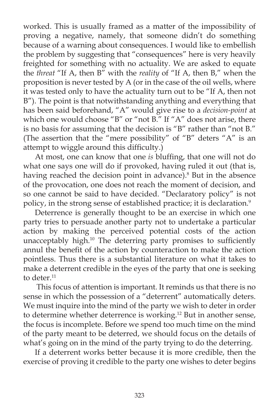worked. This is usually framed as a matter of the impossibility of proving a negative, namely, that someone didn't do something because of a warning about consequences. I would like to embellish the problem by suggesting that "consequences" here is very heavily freighted for something with no actuality. We are asked to equate the *threat* "If A, then B" with the *reality* of "If A, then B," when the proposition is never tested by A (or in the case of the oil wells, where it was tested only to have the actuality turn out to be "If A, then not B"). The point is that notwithstanding anything and everything that has been said beforehand, "A" would give rise to a *decision-point* at which one would choose "B" or "not B." If "A" does not arise, there is no basis for assuming that the decision is "B" rather than "not B." (The assertion that the "mere possibility" of "B" deters "A" is an attempt to wiggle around this difficulty.)

At most, one can know that one *is* bluffing, that one will not do what one says one will do if provoked, having ruled it out (that is, having reached the decision point in advance).<sup>8</sup> But in the absence of the provocation, one does not reach the moment of decision, and so one cannot be said to have decided. "Declaratory policy" is not policy, in the strong sense of established practice; it is declaration.<sup>9</sup>

 Deterrence is generally thought to be an exercise in which one party tries to persuade another party not to undertake a particular action by making the perceived potential costs of the action unacceptably high.<sup>10</sup> The deterring party promises to sufficiently annul the benefit of the action by counteraction to make the action pointless. Thus there is a substantial literature on what it takes to make a deterrent credible in the eyes of the party that one is seeking to deter.<sup>11</sup>

 This focus of attention is important. It reminds us that there is no sense in which the possession of a "deterrent" automatically deters. We must inquire into the mind of the party we wish to deter in order to determine whether deterrence is working.<sup>12</sup> But in another sense, the focus is incomplete. Before we spend too much time on the mind of the party meant to be deterred, we should focus on the details of what's going on in the mind of the party trying to do the deterring.

 If a deterrent works better because it is more credible, then the exercise of proving it credible to the party one wishes to deter begins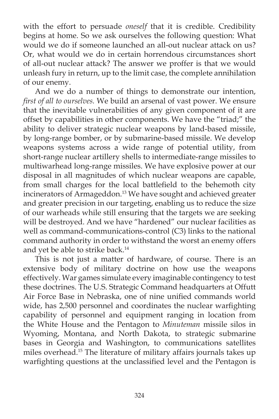with the effort to persuade *oneself* that it is credible. Credibility begins at home. So we ask ourselves the following question: What would we do if someone launched an all-out nuclear attack on us? Or, what would we do in certain horrendous circumstances short of all-out nuclear attack? The answer we proffer is that we would unleash fury in return, up to the limit case, the complete annihilation of our enemy.

 And we do a number of things to demonstrate our intention, *first of all to ourselves.* We build an arsenal of vast power. We ensure that the inevitable vulnerabilities of any given component of it are offset by capabilities in other components. We have the "triad;" the ability to deliver strategic nuclear weapons by land-based missile, by long-range bomber, or by submarine-based missile. We develop weapons systems across a wide range of potential utility, from short-range nuclear artillery shells to intermediate-range missiles to multiwarhead long-range missiles. We have explosive power at our disposal in all magnitudes of which nuclear weapons are capable, from small charges for the local battlefield to the behemoth city incinerators of Armageddon.<sup>13</sup> We have sought and achieved greater and greater precision in our targeting, enabling us to reduce the size of our warheads while still ensuring that the targets we are seeking will be destroyed. And we have "hardened" our nuclear facilities as well as command-communications-control (C3) links to the national command authority in order to withstand the worst an enemy offers and yet be able to strike back.14

 This is not just a matter of hardware, of course. There is an extensive body of military doctrine on how use the weapons effectively. War games simulate every imaginable contingency to test these doctrines. The U.S. Strategic Command headquarters at Offutt Air Force Base in Nebraska, one of nine unified commands world wide, has 2,500 personnel and coordinates the nuclear warfighting capability of personnel and equipment ranging in location from the White House and the Pentagon to *Minuteman* missile silos in Wyoming, Montana, and North Dakota, to strategic submarine bases in Georgia and Washington, to communications satellites miles overhead.15 The literature of military affairs journals takes up warfighting questions at the unclassified level and the Pentagon is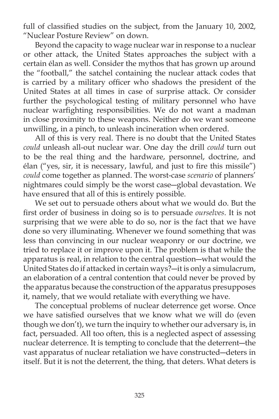full of classified studies on the subject, from the January 10, 2002, "Nuclear Posture Review" on down.

 Beyond the capacity to wage nuclear war in response to a nuclear or other attack, the United States approaches the subject with a certain élan as well. Consider the mythos that has grown up around the "football," the satchel containing the nuclear attack codes that is carried by a military officer who shadows the president of the United States at all times in case of surprise attack. Or consider further the psychological testing of military personnel who have nuclear warfighting responsibilities. We do not want a madman in close proximity to these weapons. Neither do we want someone unwilling, in a pinch, to unleash incineration when ordered.

 All of this is very real. There is no doubt that the United States *could* unleash all-out nuclear war. One day the drill *could* turn out to be the real thing and the hardware, personnel, doctrine, and élan ("yes, sir, it is necessary, lawful, and just to fire this missile") *could* come together as planned. The worst-case *scenario* of planners' nightmares could simply be the worst case―global devastation. We have ensured that all of this is entirely possible.

 We set out to persuade others about what we would do. But the first order of business in doing so is to persuade *ourselves*. It is not surprising that we were able to do so, nor is the fact that we have done so very illuminating. Whenever we found something that was less than convincing in our nuclear weaponry or our doctrine, we tried to replace it or improve upon it. The problem is that while the apparatus is real, in relation to the central question―what would the United States do if attacked in certain ways?―it is only a simulacrum, an elaboration of a central contention that could never be proved by the apparatus because the construction of the apparatus presupposes it, namely, that we would retaliate with everything we have.

 The conceptual problems of nuclear deterrence get worse. Once we have satisfied ourselves that we know what we will do (even though we don't), we turn the inquiry to whether our adversary is, in fact, persuaded. All too often, this is a neglected aspect of assessing nuclear deterrence. It is tempting to conclude that the deterrent―the vast apparatus of nuclear retaliation we have constructed―deters in itself. But it is not the deterrent, the thing, that deters. What deters is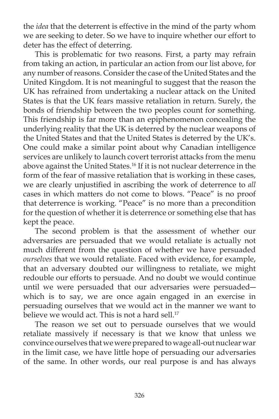the *idea* that the deterrent is effective in the mind of the party whom we are seeking to deter. So we have to inquire whether our effort to deter has the effect of deterring.

 This is problematic for two reasons. First, a party may refrain from taking an action, in particular an action from our list above, for any number of reasons. Consider the case of the United States and the United Kingdom. It is not meaningful to suggest that the reason the UK has refrained from undertaking a nuclear attack on the United States is that the UK fears massive retaliation in return. Surely, the bonds of friendship between the two peoples count for something. This friendship is far more than an epiphenomenon concealing the underlying reality that the UK is deterred by the nuclear weapons of the United States and that the United States is deterred by the UK's. One could make a similar point about why Canadian intelligence services are unlikely to launch covert terrorist attacks from the menu above against the United States.<sup>16</sup> If it is not nuclear deterrence in the form of the fear of massive retaliation that is working in these cases, we are clearly unjustified in ascribing the work of deterrence to *all* cases in which matters do not come to blows. "Peace" is no proof that deterrence is working. "Peace" is no more than a precondition for the question of whether it is deterrence or something else that has kept the peace.

 The second problem is that the assessment of whether our adversaries are persuaded that we would retaliate is actually not much different from the question of whether we have persuaded *ourselves* that we would retaliate. Faced with evidence, for example, that an adversary doubted our willingness to retaliate, we might redouble our efforts to persuade. And no doubt we would continue until we were persuaded that our adversaries were persuaded― which is to say, we are once again engaged in an exercise in persuading ourselves that we would act in the manner we want to believe we would act. This is not a hard sell.<sup>17</sup>

 The reason we set out to persuade ourselves that we would retaliate massively if necessary is that we know that unless we convince ourselves that we were prepared to wage all-out nuclear war in the limit case, we have little hope of persuading our adversaries of the same. In other words, our real purpose is and has always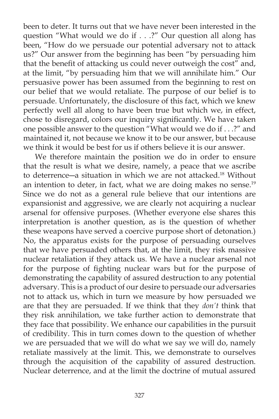been to deter. It turns out that we have never been interested in the question "What would we do if . . .?" Our question all along has been, "How do we persuade our potential adversary not to attack us?" Our answer from the beginning has been "by persuading him that the benefit of attacking us could never outweigh the cost" and, at the limit, "by persuading him that we will annihilate him." Our persuasive power has been assumed from the beginning to rest on our belief that we would retaliate. The purpose of our belief is to persuade. Unfortunately, the disclosure of this fact, which we knew perfectly well all along to have been true but which we, in effect, chose to disregard, colors our inquiry significantly. We have taken one possible answer to the question "What would we do if . . .?" and maintained it, not because we know it to be our answer, but because we think it would be best for us if others believe it is our answer.

 We therefore maintain the position we do in order to ensure that the result is what we desire, namely, a peace that we ascribe to deterrence―a situation in which we are not attacked.18 Without an intention to deter, in fact, what we are doing makes no sense. $19$ Since we do not as a general rule believe that our intentions are expansionist and aggressive, we are clearly not acquiring a nuclear arsenal for offensive purposes. (Whether everyone else shares this interpretation is another question, as is the question of whether these weapons have served a coercive purpose short of detonation.) No, the apparatus exists for the purpose of persuading ourselves that we have persuaded others that, at the limit, they risk massive nuclear retaliation if they attack us. We have a nuclear arsenal not for the purpose of fighting nuclear wars but for the purpose of demonstrating the capability of assured destruction to any potential adversary. This is a product of our desire to persuade our adversaries not to attack us, which in turn we measure by how persuaded we are that they are persuaded. If we think that they *don't* think that they risk annihilation, we take further action to demonstrate that they face that possibility. We enhance our capabilities in the pursuit of credibility. This in turn comes down to the question of whether we are persuaded that we will do what we say we will do, namely retaliate massively at the limit. This, we demonstrate to ourselves through the acquisition of the capability of assured destruction. Nuclear deterrence, and at the limit the doctrine of mutual assured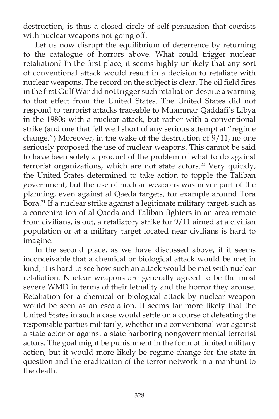destruction, is thus a closed circle of self-persuasion that coexists with nuclear weapons not going off.

 Let us now disrupt the equilibrium of deterrence by returning to the catalogue of horrors above. What could trigger nuclear retaliation? In the first place, it seems highly unlikely that any sort of conventional attack would result in a decision to retaliate with nuclear weapons. The record on the subject is clear. The oil field fires in the first Gulf War did not trigger such retaliation despite a warning to that effect from the United States. The United States did not respond to terrorist attacks traceable to Muammar Qaddafi's Libya in the 1980s with a nuclear attack, but rather with a conventional strike (and one that fell well short of any serious attempt at "regime change.") Moreover, in the wake of the destruction of 9/11, no one seriously proposed the use of nuclear weapons. This cannot be said to have been solely a product of the problem of what to do against terrorist organizations, which are not state actors.<sup>20</sup> Very quickly, the United States determined to take action to topple the Taliban government, but the use of nuclear weapons was never part of the planning, even against al Qaeda targets, for example around Tora Bora.<sup>21</sup> If a nuclear strike against a legitimate military target, such as a concentration of al Qaeda and Taliban fighters in an area remote from civilians, is out, a retaliatory strike for 9/11 aimed at a civilian population or at a military target located near civilians is hard to imagine.

 In the second place, as we have discussed above, if it seems inconceivable that a chemical or biological attack would be met in kind, it is hard to see how such an attack would be met with nuclear retaliation. Nuclear weapons are generally agreed to be the most severe WMD in terms of their lethality and the horror they arouse. Retaliation for a chemical or biological attack by nuclear weapon would be seen as an escalation. It seems far more likely that the United States in such a case would settle on a course of defeating the responsible parties militarily, whether in a conventional war against a state actor or against a state harboring nongovernmental terrorist actors. The goal might be punishment in the form of limited military action, but it would more likely be regime change for the state in question and the eradication of the terror network in a manhunt to the death.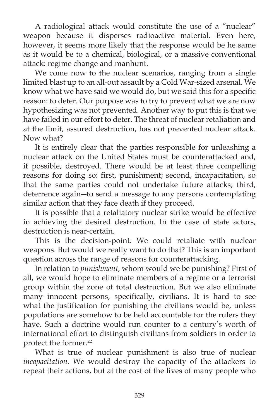A radiological attack would constitute the use of a "nuclear" weapon because it disperses radioactive material. Even here, however, it seems more likely that the response would be he same as it would be to a chemical, biological, or a massive conventional attack: regime change and manhunt.

 We come now to the nuclear scenarios, ranging from a single limited blast up to an all-out assault by a Cold War-sized arsenal. We know what we have said we would do, but we said this for a specific reason: to deter. Our purpose was to try to prevent what we are now hypothesizing was not prevented. Another way to put this is that we have failed in our effort to deter. The threat of nuclear retaliation and at the limit, assured destruction, has not prevented nuclear attack. Now what?

 It is entirely clear that the parties responsible for unleashing a nuclear attack on the United States must be counterattacked and, if possible, destroyed. There would be at least three compelling reasons for doing so: first, punishment; second, incapacitation, so that the same parties could not undertake future attacks; third, deterrence again―to send a message to any persons contemplating similar action that they face death if they proceed.

 It is possible that a retaliatory nuclear strike would be effective in achieving the desired destruction. In the case of state actors, destruction is near-certain.

 This is the decision-point. We could retaliate with nuclear weapons. But would we really want to do that? This is an important question across the range of reasons for counterattacking.

 In relation to *punishment*, whom would we be punishing? First of all, we would hope to eliminate members of a regime or a terrorist group within the zone of total destruction. But we also eliminate many innocent persons, specifically, civilians. It is hard to see what the justification for punishing the civilians would be, unless populations are somehow to be held accountable for the rulers they have. Such a doctrine would run counter to a century's worth of international effort to distinguish civilians from soldiers in order to protect the former.<sup>22</sup>

 What is true of nuclear punishment is also true of nuclear *incapacitation*. We would destroy the capacity of the attackers to repeat their actions, but at the cost of the lives of many people who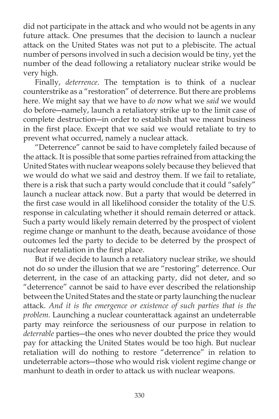did not participate in the attack and who would not be agents in any future attack. One presumes that the decision to launch a nuclear attack on the United States was not put to a plebiscite. The actual number of persons involved in such a decision would be tiny, yet the number of the dead following a retaliatory nuclear strike would be very high.

 Finally, *deterrence*. The temptation is to think of a nuclear counterstrike as a "restoration" of deterrence. But there are problems here. We might say that we have to *do* now what we *said* we would do before―namely, launch a retaliatory strike up to the limit case of complete destruction―in order to establish that we meant business in the first place. Except that we said we would retaliate to try to prevent what occurred, namely a nuclear attack.

 "Deterrence" cannot be said to have completely failed because of the attack. It is possible that some parties refrained from attacking the United States with nuclear weapons solely because they believed that we would do what we said and destroy them. If we fail to retaliate, there is a risk that such a party would conclude that it could "safely" launch a nuclear attack now. But a party that would be deterred in the first case would in all likelihood consider the totality of the U.S. response in calculating whether it should remain deterred or attack. Such a party would likely remain deterred by the prospect of violent regime change or manhunt to the death, because avoidance of those outcomes led the party to decide to be deterred by the prospect of nuclear retaliation in the first place.

 But if we decide to launch a retaliatory nuclear strike, we should not do so under the illusion that we are "restoring" deterrence. Our deterrent, in the case of an attacking party, did not deter, and so "deterrence" cannot be said to have ever described the relationship between the United States and the state or party launching the nuclear attack. *And it is the emergence or existence of such parties that is the problem.* Launching a nuclear counterattack against an undeterrable party may reinforce the seriousness of our purpose in relation to *deterrable* parties―the ones who never doubted the price they would pay for attacking the United States would be too high. But nuclear retaliation will do nothing to restore "deterrence" in relation to undeterrable actors―those who would risk violent regime change or manhunt to death in order to attack us with nuclear weapons.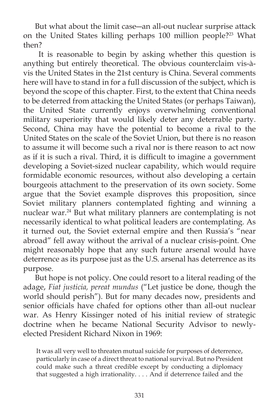But what about the limit case―an all-out nuclear surprise attack on the United States killing perhaps 100 million people?<sup>23</sup> What then?

 It is reasonable to begin by asking whether this question is anything but entirely theoretical. The obvious counterclaim vis-àvis the United States in the 21st century is China. Several comments here will have to stand in for a full discussion of the subject, which is beyond the scope of this chapter. First, to the extent that China needs to be deterred from attacking the United States (or perhaps Taiwan), the United State currently enjoys overwhelming conventional military superiority that would likely deter any deterrable party. Second, China may have the potential to become a rival to the United States on the scale of the Soviet Union, but there is no reason to assume it will become such a rival nor is there reason to act now as if it is such a rival. Third, it is difficult to imagine a government developing a Soviet-sized nuclear capability, which would require formidable economic resources, without also developing a certain bourgeois attachment to the preservation of its own society. Some argue that the Soviet example disproves this proposition, since Soviet military planners contemplated fighting and winning a nuclear war.<sup>24</sup> But what military planners are contemplating is not necessarily identical to what political leaders are contemplating. As it turned out, the Soviet external empire and then Russia's "near abroad" fell away without the arrival of a nuclear crisis-point. One might reasonably hope that any such future arsenal would have deterrence as its purpose just as the U.S. arsenal has deterrence as its purpose.

 But hope is not policy. One could resort to a literal reading of the adage, *Fiat justicia, pereat mundus* ("Let justice be done, though the world should perish"). But for many decades now, presidents and senior officials have chafed for options other than all-out nuclear war. As Henry Kissinger noted of his initial review of strategic doctrine when he became National Security Advisor to newlyelected President Richard Nixon in 1969:

It was all very well to threaten mutual suicide for purposes of deterrence, particularly in case of a direct threat to national survival. But no President could make such a threat credible except by conducting a diplomacy that suggested a high irrationality. . . . And if deterrence failed and the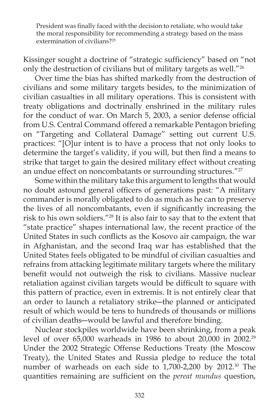President was finally faced with the decision to retaliate, who would take the moral responsibility for recommending a strategy based on the mass extermination of civilians?25

Kissinger sought a doctrine of "strategic sufficiency" based on "not only the destruction of civilians but of military targets as well."26

 Over time the bias has shifted markedly from the destruction of civilians and some military targets besides, to the minimization of civilian casualties in all military operations. This is consistent with treaty obligations and doctrinally enshrined in the military rules for the conduct of war. On March 5, 2003, a senior defense official from U.S. Central Command offered a remarkable Pentagon briefing on "Targeting and Collateral Damage" setting out current U.S. practices: "[O]ur intent is to have a process that not only looks to determine the target's validity, if you will, but then find a means to strike that target to gain the desired military effect without creating an undue effect on noncombatants or surrounding structures."<sup>27</sup>

 Some within the military take this argument to lengths that would no doubt astound general officers of generations past: "A military commander is morally obligated to do as much as he can to preserve the lives of all noncombatants, even if significantly increasing the risk to his own soldiers."28 It is also fair to say that to the extent that "state practice" shapes international law, the recent practice of the United States in such conflicts as the Kosovo air campaign, the war in Afghanistan, and the second Iraq war has established that the United States feels obligated to be mindful of civilian casualties and refrains from attacking legitimate military targets where the military benefit would not outweigh the risk to civilians. Massive nuclear retaliation against civilian targets would be difficult to square with this pattern of practice, even in extremis. It is not entirely clear that an order to launch a retaliatory strike―the planned or anticipated result of which would be tens to hundreds of thousands or millions of civilian deaths―would be lawful and therefore binding.

 Nuclear stockpiles worldwide have been shrinking, from a peak level of over 65,000 warheads in 1986 to about 20,000 in 2002.29 Under the 2002 Strategic Offense Reductions Treaty (the Moscow Treaty), the United States and Russia pledge to reduce the total number of warheads on each side to 1,700-2,200 by 2012.<sup>30</sup> The quantities remaining are sufficient on the *pereat mundus* question,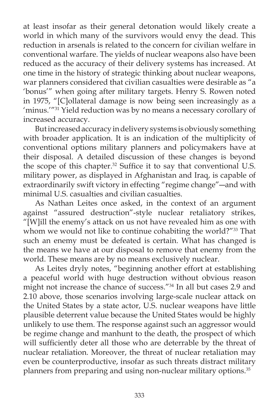at least insofar as their general detonation would likely create a world in which many of the survivors would envy the dead. This reduction in arsenals is related to the concern for civilian welfare in conventional warfare. The yields of nuclear weapons also have been reduced as the accuracy of their delivery systems has increased. At one time in the history of strategic thinking about nuclear weapons, war planners considered that civilian casualties were desirable as "a 'bonus'" when going after military targets. Henry S. Rowen noted in 1975, "[C]ollateral damage is now being seen increasingly as a 'minus.'"31 Yield reduction was by no means a necessary corollary of increased accuracy.

 But increased accuracy in delivery systems is obviously something with broader application. It is an indication of the multiplicity of conventional options military planners and policymakers have at their disposal. A detailed discussion of these changes is beyond the scope of this chapter.<sup>32</sup> Suffice it to say that conventional U.S. military power, as displayed in Afghanistan and Iraq, is capable of extraordinarily swift victory in effecting "regime change"―and with minimal U.S. casualties and civilian casualties.

 As Nathan Leites once asked, in the context of an argument against "assured destruction"-style nuclear retaliatory strikes, "[W]ill the enemy's attack on us not have revealed him as one with whom we would not like to continue cohabiting the world?"<sup>33</sup> That such an enemy must be defeated is certain. What has changed is the means we have at our disposal to remove that enemy from the world. These means are by no means exclusively nuclear.

 As Leites dryly notes, "beginning another effort at establishing a peaceful world with huge destruction without obvious reason might not increase the chance of success."34 In all but cases 2.9 and 2.10 above, those scenarios involving large-scale nuclear attack on the United States by a state actor, U.S. nuclear weapons have little plausible deterrent value because the United States would be highly unlikely to use them. The response against such an aggressor would be regime change and manhunt to the death, the prospect of which will sufficiently deter all those who are deterrable by the threat of nuclear retaliation. Moreover, the threat of nuclear retaliation may even be counterproductive, insofar as such threats distract military planners from preparing and using non-nuclear military options.<sup>35</sup>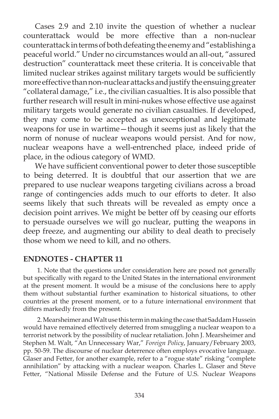Cases 2.9 and 2.10 invite the question of whether a nuclear counterattack would be more effective than a non-nuclear counterattack in terms of both defeating the enemy and "establishing a peaceful world." Under no circumstances would an all-out, "assured destruction" counterattack meet these criteria. It is conceivable that limited nuclear strikes against military targets would be sufficiently more effective than non-nuclear attacks and justify the ensuing greater "collateral damage," i.e., the civilian casualties. It is also possible that further research will result in mini-nukes whose effective use against military targets would generate no civilian casualties. If developed, they may come to be accepted as unexceptional and legitimate weapons for use in wartime—though it seems just as likely that the norm of nonuse of nuclear weapons would persist. And for now, nuclear weapons have a well-entrenched place, indeed pride of place, in the odious category of WMD.

We have sufficient conventional power to deter those susceptible to being deterred. It is doubtful that our assertion that we are prepared to use nuclear weapons targeting civilians across a broad range of contingencies adds much to our efforts to deter. It also seems likely that such threats will be revealed as empty once a decision point arrives. We might be better off by ceasing our efforts to persuade ourselves we will go nuclear, putting the weapons in deep freeze, and augmenting our ability to deal death to precisely those whom we need to kill, and no others.

## **ENDNOTES - CHAPTER 11**

1. Note that the questions under consideration here are posed not generally but specifically with regard to the United States in the international environment at the present moment. It would be a misuse of the conclusions here to apply them without substantial further examination to historical situations, to other countries at the present moment, or to a future international environment that differs markedly from the present.

2. Mearsheimer and Walt use this term in making the case that Saddam Hussein would have remained effectively deterred from smuggling a nuclear weapon to a terrorist network by the possibility of nuclear retaliation. John J. Mearsheimer and Stephen M. Walt, "An Unnecessary War," *Foreign Policy*, January/February 2003, pp. 50-59. The discourse of nuclear deterrence often employs evocative language. Glaser and Fetter, for another example, refer to a "rogue state" risking "complete annihilation" by attacking with a nuclear weapon. Charles L. Glaser and Steve Fetter, "National Missile Defense and the Future of U.S. Nuclear Weapons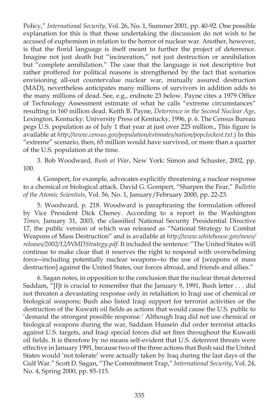Policy," *International Security*, Vol. 26, No. 1, Summer 2001, pp. 40-92. One possible explanation for this is that those undertaking the discussion do not wish to be accused of euphemism in relation to the horror of nuclear war. Another, however, is that the florid language is itself meant to further the project of deterrence. Imagine not just death but "incineration," not just destruction or annihilation but "complete annihilation." The case that the language is not descriptive but rather proffered for political reasons is strengthened by the fact that scenarios envisioning all-out countervalue nuclear war, mutually assured destruction (MAD), nevertheless anticipates many millions of survivors in addition adds to the many millions of dead. See, e.g., endnote 23 below. Payne cites a 1979 Office of Technology Assessment estimate of what he calls "extreme circumstances" resulting in 160 million dead. Keith B. Payne, *Deterrence in the Second Nuclear Age*, Lexington, Kentucky: University Press of Kentucky, 1996, p. 6. The Census Bureau pegs U.S. population as of July 1 that year at just over 225 million., This figure is available at *http://www.census.gov/population/estimates/nation/popclockest.txt*.) In this "extreme" scenario, then, 65 million would have survived, or more than a quarter of the U.S. population at the time.

3. Bob Woodward, *Bush at War* , New York: Simon and Schuster, 2002, pp. 100.

4. Gompert, for example, advocates explicitly threatening a nuclear response to a chemical or biological attack. David G. Gompert, "Sharpen the Fear," *Bulletin of the Atomic Scientists*, Vol. 56, No. 1, January/February 2000, pp. 22-23.

5. Woodward, p. 218. Woodward is paraphrasing the formulation offered by Vice President Dick Cheney. According to a report in the Washington *Times, January 31, 2003, the classified National Security Presidential Directive* 17, the public version of which was released as "National Strategy to Combat Weapons of Mass Destruction" and is available at *http://www.whitehouse.gov/news/ releases/2002/12/WMDStrategy.pdf.* It included the sentence: "The United States will continue to make clear that it reserves the right to respond with overwhelming force―including potentially nuclear weapons―to the use of [weapons of mass destruction] against the United States, our forces abroad, and friends and allies."

6. Sagan notes, in opposition to the conclusion that the nuclear threat deterred Saddam, "[I]t is crucial to remember that the January 9, 1991, Bush letter . . . did not threaten a devastating response only in retaliation to Iraqi use of chemical or biological weapons; Bush also listed Iraqi support for terrorist activities or the destruction of the Kuwaiti oil fields as actions that would cause the U.S. public to 'demand the strongest possible response.' Although Iraq did not use chemical or biological weapons during the war, Saddam Hussein did order terrorist attacks against U.S. targets, and Iraqi special forces did set fires throughout the Kuwaiti oil fields. It is therefore by no means self-evident that U.S. deterrent threats were effective in January 1991, because two of the three actions that Bush said the United States would 'not tolerate' were actually taken by Iraq during the last days of the Gulf War." Scott D. Sagan, "The Commitment Trap," *International Security*, Vol. 24, No. 4, Spring 2000, pp. 85-115.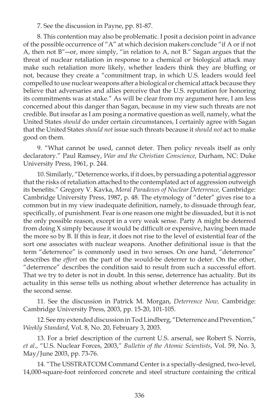7. See the discussion in Payne, pp. 81-87.

8. This contention may also be problematic. I posit a decision point in advance of the possible occurrence of "A" at which decision makers conclude "if A or if not A, then not B"―or, more simply, "in relation to A, not B." Sagan argues that the threat of nuclear retaliation in response to a chemical or biological attack may make such retaliation more likely, whether leaders think they are bluffing or not, because they create a "commitment trap, in which U.S. leaders would feel compelled to use nuclear weapons after a biological or chemical attack because they believe that adversaries and allies perceive that the U.S. reputation for honoring its commitments was at stake." As will be clear from my argument here, I am less concerned about this danger than Sagan, because in my view such threats are not credible. But insofar as I am posing a normative question as well, namely, what the United States *should* do under certain circumstances, I certainly agree with Sagan that the United States *should not* issue such threats because it *should not* act to make good on them.

9. "What cannot be used, cannot deter. Then policy reveals itself as only declaratory." Paul Ramsey, *War and the Christian Conscience,* Durham, NC: Duke University Press, 1961, p. 244.

10. Similarly, "Deterrence works, if it does, by persuading a potential aggressor that the risks of retaliation attached to the contemplated act of aggression outweigh its benefits." Gregory V. Kavka, *Moral Paradoxes of Nuclear Deterrence*, Cambridge: Cambridge University Press, 1987, p. 48. The etymology of "deter" gives rise to a common but in my view inadequate definition, namely, to dissuade through fear, specifically, of punishment. Fear is one reason one might be dissuaded, but it is not the only possible reason, except in a very weak sense. Party A might be deterred from doing X simply because it would be difficult or expensive, having been made the more so by B. If this is fear, it does not rise to the level of existential fear of the sort one associates with nuclear weapons. Another definitional issue is that the term "deterrence" is commonly used in two senses. On one hand, "deterrence" describes the *effort* on the part of the would-be deterrer to deter. On the other, "deterrence" describes the condition said to result from such a successful effort. That we try to deter is not in doubt. In this sense, deterrence has actuality. But its actuality in this sense tells us nothing about whether deterrence has actuality in the second sense.

11. See the discussion in Patrick M. Morgan, *Deterrence Now,* Cambridge: Cambridge University Press, 2003, pp. 15-20, 101-105.

12. See my extended discussion in Tod Lindberg, "Deterrence and Prevention," *Weekly Standard*, Vol. 8, No. 20, February 3, 2003.

13. For a brief description of the current U.S. arsenal, see Robert S. Norris, *et al*., "U.S. Nuclear Forces, 2003," *Bulletin of the Atomic Scientists*, Vol. 59, No. 3, May/June 2003, pp. 73-76.

14. "The USSTRATCOM Command Center is a specially-designed, two-level, 14,000-square-foot reinforced concrete and steel structure containing the critical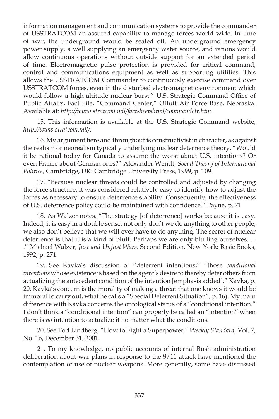information management and communication systems to provide the commander of USSTRATCOM an assured capability to manage forces world wide. In time of war, the underground would be sealed off. An underground emergency power supply, a well supplying an emergency water source, and rations would allow continuous operations without outside support for an extended period of time. Electromagnetic pulse protection is provided for critical command, control and communications equipment as well as supporting utilities. This allows the USSTRATCOM Commander to continuously exercise command over USSTRATCOM forces, even in the disturbed electromagnetic environment which would follow a high altitude nuclear burst." U.S. Strategic Command Office of Public Affairs, Fact File, "Command Center," Offutt Air Force Base, Nebraska. Available at: *http://www.stratcom.mil/factsheetshtml/commandctr.htm*.

15. This information is available at the U.S. Strategic Command website, *http://www.stratcom.mil/*.

16. My argument here and throughout is constructivist in character, as against the realism or neorealism typically underlying nuclear deterrence theory. "Would it be rational today for Canada to assume the worst about U.S. intentions? Or even France about German ones?" Alexander Wendt, *Social Theory of International Politics*, Cambridge, UK: Cambridge University Press, 1999, p. 109.

17. "Because nuclear threats could be controlled and adjusted by changing the force structure, it was considered relatively easy to identify how to adjust the forces as necessary to ensure deterrence stability. Consequently, the effectiveness of U.S. deterrence policy could be maintained with confidence." Payne, p. 71.

18. As Walzer notes, "The strategy [of deterrence] works because it is easy. Indeed, it is easy in a double sense: not only don't we do anything to other people, we also don't believe that we will ever have to do anything. The secret of nuclear deterrence is that it is a kind of bluff. Perhaps we are only bluffing ourselves... ." Michael Walzer, *Just and Unjust Wars*, Second Edition, New York: Basic Books, 1992, p. 271.

19. See Kavka's discussion of "deterrent intentions," "those *conditional intentions* whose existence is based on the agent's desire to thereby deter others from actualizing the antecedent condition of the intention [emphasis added]." Kavka, p. 20. Kavka's concern is the morality of making a threat that one knows it would be immoral to carry out, what he calls a "Special Deterrent Situation", p. 16). My main difference with Kavka concerns the ontological status of a "conditional intention." I don't think a "conditional intention" can properly be called an "intention" when there is *no* intention to actualize it no matter what the conditions.

20. See Tod Lindberg, "How to Fight a Superpower," *Weekly Standard*, Vol. 7, No. 16, December 31, 2001.

21. To my knowledge, no public accounts of internal Bush administration deliberation about war plans in response to the 9/11 attack have mentioned the contemplation of use of nuclear weapons. More generally, some have discussed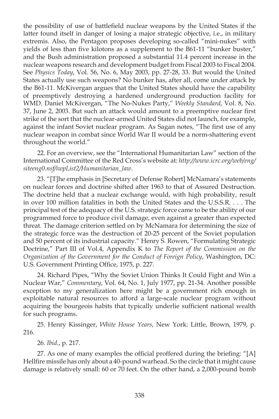the possibility of use of battlefield nuclear weapons by the United States if the latter found itself in danger of losing a major strategic objective, i.e., in military extremis. Also, the Pentagon proposes developing so-called "mini-nukes" with yields of less than five kilotons as a supplement to the B61-11 "bunker buster," and the Bush administration proposed a substantial 11.4 percent increase in the nuclear weapons research and development budget from Fiscal 2003 to Fiscal 2004. See *Physics Today*, Vol. 56, No. 6, May 2003, pp. 27-28, 33. But would the United States actually use such weapons? No bunker has, after all, come under attack by the B61-11. McKivergan argues that the United States should have the capability of preemptively destroying a hardened underground production facility for WMD. Daniel McKivergan, "The No-Nukes Party," *Weekly Standard*, Vol. 8, No. 37, June 2, 2003. But such an attack would amount to a preemptive nuclear first strike of the sort that the nuclear-armed United States did not launch, for example, against the infant Soviet nuclear program. As Sagan notes, "The first use of any nuclear weapon in combat since World War II would be a norm-shattering event throughout the world."

22. For an overview, see the "International Humanitarian Law" section of the International Committee of the Red Cross's website at: *http://www.icrc.org/web/eng/ siteeng0.nsf/iwpList2/Humanitarian\_law*.

23. "[T]he emphasis in [Secretary of Defense Robert] McNamara's statements on nuclear forces and doctrine shifted after 1963 to that of Assured Destruction. The doctrine held that a nuclear exchange would, with high probability, result in over 100 million fatalities in both the United States and the U.S.S.R. . . . The principal test of the adequacy of the U.S. strategic force came to be the ability of our programmed force to produce civil damage, even against a greater than expected threat. The damage criterion settled on by McNamara for determining the size of the strategic force was the destruction of 20-25 percent of the Soviet population and 50 percent of its industrial capacity." Henry S. Rowen, "Formulating Strategic Doctrine," Part III of Vol.4, Appendix K to *The Report of the Commission on the Organization of the Government for the Conduct of Foreign Policy*, Washington, DC: U.S. Government Printing Office, 1975, p. 227.

24. Richard Pipes, "Why the Soviet Union Thinks It Could Fight and Win a Nuclear War," *Commentary*, Vol. 64, No. 1, July 1977, pp. 21-34. Another possible exception to my generalization here might be a government rich enough in exploitable natural resources to afford a large-scale nuclear program without acquiring the bourgeois habits that typically underlie sufficient national wealth for such programs.

25. Henry Kissinger, *White House Years*, New York: Little, Brown, 1979, p. 216.

26. *Ibid*., p. 217.

27. As one of many examples the official proffered during the briefing: "[A] Hellfire missile has only about a 40-pound warhead. So the circle that it might cause damage is relatively small: 60 or 70 feet. On the other hand, a 2,000-pound bomb